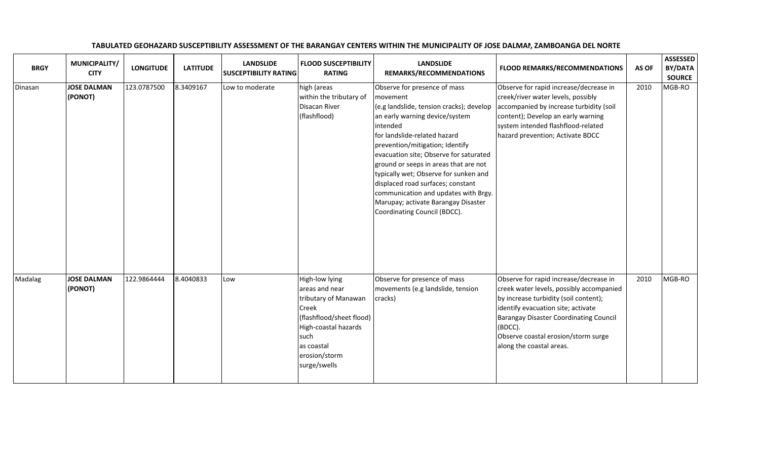| <b>BRGY</b> | MUNICIPALITY/<br><b>CITY</b>  | <b>LONGITUDE</b> | <b>LATITUDE</b> | <b>LANDSLIDE</b><br><b>SUSCEPTIBILITY RATING</b> | <b>FLOOD SUSCEPTIBILITY</b><br><b>RATING</b>                                                                                                                                 | <b>LANDSLIDE</b><br>REMARKS/RECOMMENDATIONS                                                                                                                                                                                                                                                                                                                                                                                                                                           | <b>FLOOD REMARKS/RECOMMENDATIONS</b>                                                                                                                                                                                                                                                             | AS OF | <b>ASSESSED</b><br>BY/DATA<br><b>SOURCE</b> |
|-------------|-------------------------------|------------------|-----------------|--------------------------------------------------|------------------------------------------------------------------------------------------------------------------------------------------------------------------------------|---------------------------------------------------------------------------------------------------------------------------------------------------------------------------------------------------------------------------------------------------------------------------------------------------------------------------------------------------------------------------------------------------------------------------------------------------------------------------------------|--------------------------------------------------------------------------------------------------------------------------------------------------------------------------------------------------------------------------------------------------------------------------------------------------|-------|---------------------------------------------|
| Dinasan     | <b>JOSE DALMAN</b><br>(PONOT) | 123.0787500      | 8.3409167       | Low to moderate                                  | high (areas<br>within the tributary of<br>Disacan River<br>(flashflood)                                                                                                      | Observe for presence of mass<br>movement<br>(e.g landslide, tension cracks); develop<br>an early warning device/system<br>intended<br>for landslide-related hazard<br>prevention/mitigation; Identify<br>evacuation site; Observe for saturated<br>ground or seeps in areas that are not<br>typically wet; Observe for sunken and<br>displaced road surfaces; constant<br>communication and updates with Brgy.<br>Marupay; activate Barangay Disaster<br>Coordinating Council (BDCC). | Observe for rapid increase/decrease in<br>creek/river water levels, possibly<br>accompanied by increase turbidity (soil<br>content); Develop an early warning<br>system intended flashflood-related<br>hazard prevention; Activate BDCC                                                          | 2010  | MGB-RO                                      |
| Madalag     | <b>JOSE DALMAN</b><br>(PONOT) | 122.9864444      | 8.4040833       | Low                                              | High-low lying<br>areas and near<br>tributary of Manawan<br>Creek<br>(flashflood/sheet flood)<br>High-coastal hazards<br>such<br>as coastal<br>erosion/storm<br>surge/swells | Observe for presence of mass<br>movements (e.g landslide, tension<br>cracks)                                                                                                                                                                                                                                                                                                                                                                                                          | Observe for rapid increase/decrease in<br>creek water levels, possibly accompanied<br>by increase turbidity (soil content);<br>identify evacuation site; activate<br><b>Barangay Disaster Coordinating Council</b><br>(BDCC).<br>Observe coastal erosion/storm surge<br>along the coastal areas. | 2010  | MGB-RO                                      |

## TABULATED GEOHAZARD SUSCEPTIBILITY ASSESSMENT OF THE BARANGAY CENTERS WITHIN THE MUNICIPALITY OF JOSE DALMAN, ZAMBOANGA DEL NORTE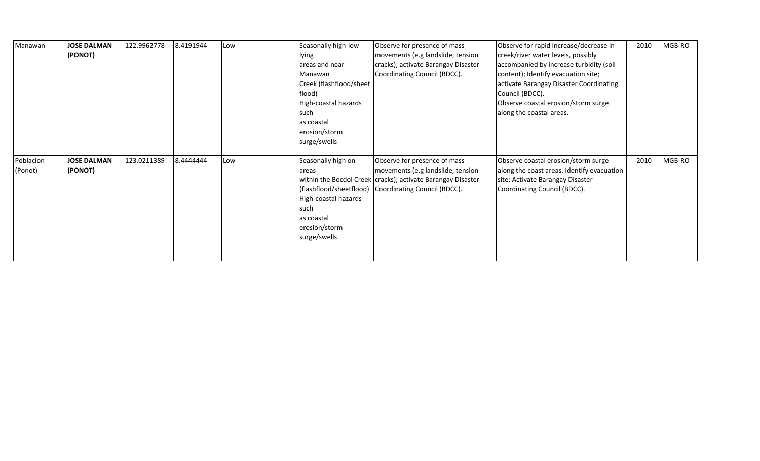| Manawan              | <b>JOSE DALMAN</b><br>(PONOT) | 122.9962778 | 8.4191944 | Low | Seasonally high-low<br>lying<br>areas and near<br>Manawan<br>Creek (flashflood/sheet<br>flood)<br>High-coastal hazards<br>such<br>as coastal<br>erosion/storm | Observe for presence of mass<br>movements (e.g landslide, tension<br>cracks); activate Barangay Disaster<br>Coordinating Council (BDCC).                                                   | Observe for rapid increase/decrease in<br>creek/river water levels, possibly<br>accompanied by increase turbidity (soil<br>content); Identify evacuation site;<br>activate Barangay Disaster Coordinating<br>Council (BDCC).<br>Observe coastal erosion/storm surge<br>along the coastal areas. | 2010 | MGB-RO |
|----------------------|-------------------------------|-------------|-----------|-----|---------------------------------------------------------------------------------------------------------------------------------------------------------------|--------------------------------------------------------------------------------------------------------------------------------------------------------------------------------------------|-------------------------------------------------------------------------------------------------------------------------------------------------------------------------------------------------------------------------------------------------------------------------------------------------|------|--------|
|                      |                               |             |           |     | surge/swells                                                                                                                                                  |                                                                                                                                                                                            |                                                                                                                                                                                                                                                                                                 |      |        |
| Poblacion<br>(Ponot) | JOSE DALMAN<br>(PONOT)        | 123.0211389 | 8.4444444 | Low | Seasonally high on<br>lareas<br>High-coastal hazards<br>such<br>as coastal<br>erosion/storm<br>surge/swells                                                   | Observe for presence of mass<br>movements (e.g landslide, tension<br>within the Bocdol Creek   cracks); activate Barangay Disaster<br>(flashflood/sheetflood) Coordinating Council (BDCC). | Observe coastal erosion/storm surge<br>along the coast areas. Identify evacuation<br>site; Activate Barangay Disaster<br>Coordinating Council (BDCC).                                                                                                                                           | 2010 | MGB-RO |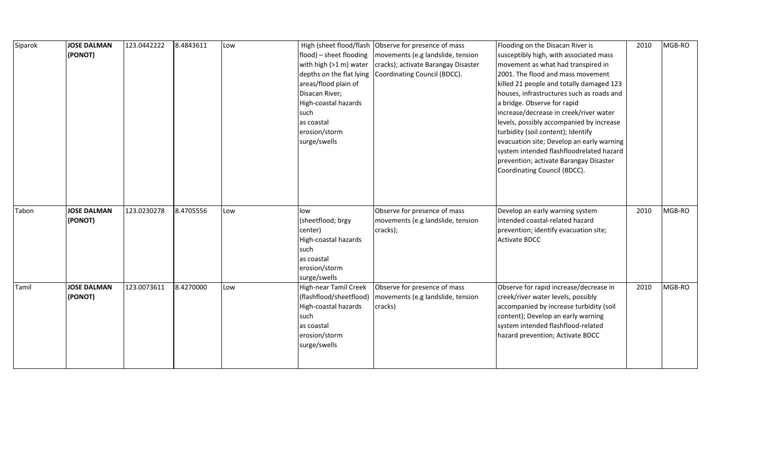| Siparok | <b>JOSE DALMAN</b><br>(PONOT) | 123.0442222 | 8.4843611 | Low | flood) - sheet flooding<br>with high (>1 m) water<br>areas/flood plain of<br>Disacan River;<br>High-coastal hazards<br>such<br>as coastal<br>erosion/storm<br>surge/swells | High (sheet flood/flash   Observe for presence of mass<br>movements (e.g landslide, tension<br>cracks); activate Barangay Disaster<br>depths on the flat lying   Coordinating Council (BDCC). | Flooding on the Disacan River is<br>susceptibly high, with associated mass<br>movement as what had transpired in<br>2001. The flood and mass movement<br>killed 21 people and totally damaged 123<br>houses, infrastructures such as roads and<br>a bridge. Observe for rapid<br>increase/decrease in creek/river water<br>levels, possibly accompanied by increase<br>turbidity (soil content); Identify<br>evacuation site; Develop an early warning<br>system intended flashfloodrelated hazard<br>prevention; activate Barangay Disaster<br>Coordinating Council (BDCC). | 2010 | MGB-RO |
|---------|-------------------------------|-------------|-----------|-----|----------------------------------------------------------------------------------------------------------------------------------------------------------------------------|-----------------------------------------------------------------------------------------------------------------------------------------------------------------------------------------------|------------------------------------------------------------------------------------------------------------------------------------------------------------------------------------------------------------------------------------------------------------------------------------------------------------------------------------------------------------------------------------------------------------------------------------------------------------------------------------------------------------------------------------------------------------------------------|------|--------|
| Tabon   | <b>JOSE DALMAN</b><br>(PONOT) | 123.0230278 | 8.4705556 | Low | low<br>(sheetflood; brgy<br>center)<br>High-coastal hazards<br>such<br>as coastal<br>erosion/storm<br>surge/swells                                                         | Observe for presence of mass<br>movements (e.g landslide, tension<br>cracks);                                                                                                                 | Develop an early warning system<br>intended coastal-related hazard<br>prevention; identify evacuation site;<br><b>Activate BDCC</b>                                                                                                                                                                                                                                                                                                                                                                                                                                          | 2010 | MGB-RO |
| Tamil   | <b>JOSE DALMAN</b><br>(PONOT) | 123.0073611 | 8.4270000 | Low | <b>High-near Tamil Creek</b><br>(flashflood/sheetflood)<br>High-coastal hazards<br>such<br>as coastal<br>erosion/storm<br>surge/swells                                     | Observe for presence of mass<br>movements (e.g landslide, tension<br>cracks)                                                                                                                  | Observe for rapid increase/decrease in<br>creek/river water levels, possibly<br>accompanied by increase turbidity (soil<br>content); Develop an early warning<br>system intended flashflood-related<br>hazard prevention; Activate BDCC                                                                                                                                                                                                                                                                                                                                      | 2010 | MGB-RO |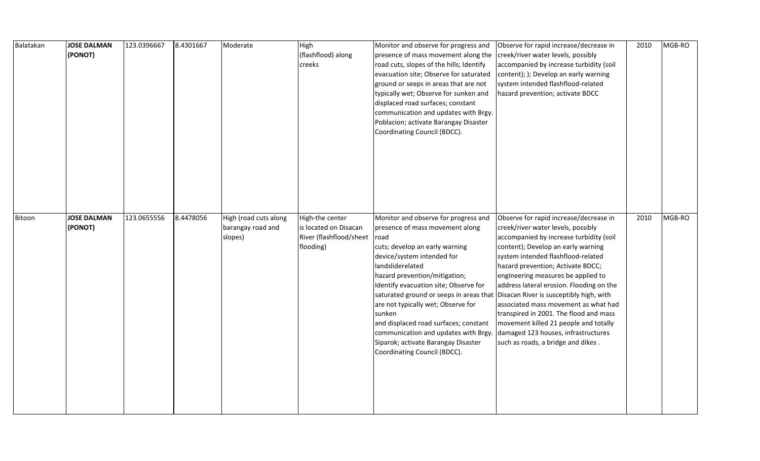| Balatakan | <b>JOSE DALMAN</b><br>(PONOT) | 123.0396667 | 8.4301667 | Moderate                                              | High<br>(flashflood) along<br>creeks                                             | Monitor and observe for progress and<br>presence of mass movement along the<br>road cuts, slopes of the hills; Identify<br>evacuation site; Observe for saturated<br>ground or seeps in areas that are not<br>typically wet; Observe for sunken and<br>displaced road surfaces; constant<br>communication and updates with Brgy.<br>Poblacion; activate Barangay Disaster<br>Coordinating Council (BDCC).                                                                                        | Observe for rapid increase/decrease in<br>creek/river water levels, possibly<br>accompanied by increase turbidity (soil<br>content); ); Develop an early warning<br>system intended flashflood-related<br>hazard prevention; activate BDCC                                                                                                                                                                                                                                                                                                                                    | 2010 | MGB-RO |
|-----------|-------------------------------|-------------|-----------|-------------------------------------------------------|----------------------------------------------------------------------------------|--------------------------------------------------------------------------------------------------------------------------------------------------------------------------------------------------------------------------------------------------------------------------------------------------------------------------------------------------------------------------------------------------------------------------------------------------------------------------------------------------|-------------------------------------------------------------------------------------------------------------------------------------------------------------------------------------------------------------------------------------------------------------------------------------------------------------------------------------------------------------------------------------------------------------------------------------------------------------------------------------------------------------------------------------------------------------------------------|------|--------|
| Bitoon    | <b>JOSE DALMAN</b><br>(PONOT) | 123.0655556 | 8.4478056 | High (road cuts along<br>barangay road and<br>slopes) | High-the center<br>is located on Disacan<br>River (flashflood/sheet<br>flooding) | Monitor and observe for progress and<br>presence of mass movement along<br>road<br>cuts; develop an early warning<br>device/system intended for<br>landsliderelated<br>hazard prevention/mitigation;<br>Identify evacuation site; Observe for<br>saturated ground or seeps in areas that<br>are not typically wet; Observe for<br>sunken<br>and displaced road surfaces; constant<br>communication and updates with Brgy.<br>Siparok; activate Barangay Disaster<br>Coordinating Council (BDCC). | Observe for rapid increase/decrease in<br>creek/river water levels, possibly<br>accompanied by increase turbidity (soil<br>content); Develop an early warning<br>system intended flashflood-related<br>hazard prevention; Activate BDCC;<br>engineering measures be applied to<br>address lateral erosion. Flooding on the<br>Disacan River is susceptibly high, with<br>associated mass movement as what had<br>transpired in 2001. The flood and mass<br>movement killed 21 people and totally<br>damaged 123 houses, infrastructures<br>such as roads, a bridge and dikes. | 2010 | MGB-RO |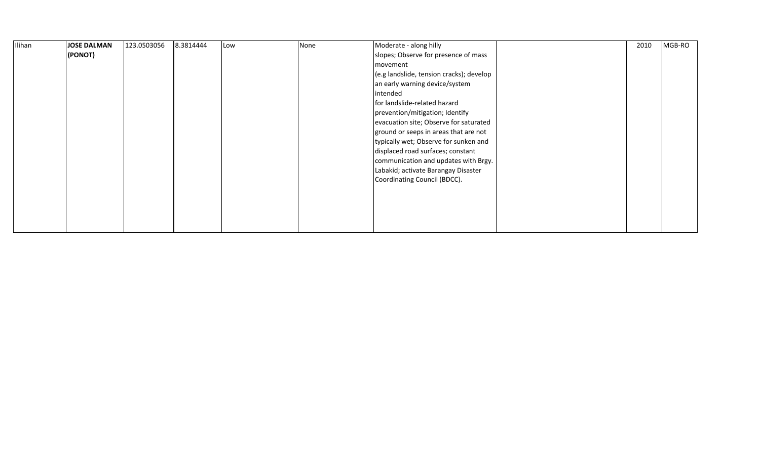| Ilihan | <b>JOSE DALMAN</b> | 123.0503056 | 8.3814444 | Low | None | Moderate - along hilly                   | 2010 | MGB-RO |
|--------|--------------------|-------------|-----------|-----|------|------------------------------------------|------|--------|
|        | (PONOT)            |             |           |     |      | slopes; Observe for presence of mass     |      |        |
|        |                    |             |           |     |      | movement                                 |      |        |
|        |                    |             |           |     |      | (e.g landslide, tension cracks); develop |      |        |
|        |                    |             |           |     |      | an early warning device/system           |      |        |
|        |                    |             |           |     |      | intended                                 |      |        |
|        |                    |             |           |     |      | for landslide-related hazard             |      |        |
|        |                    |             |           |     |      | prevention/mitigation; Identify          |      |        |
|        |                    |             |           |     |      | evacuation site; Observe for saturated   |      |        |
|        |                    |             |           |     |      | ground or seeps in areas that are not    |      |        |
|        |                    |             |           |     |      | typically wet; Observe for sunken and    |      |        |
|        |                    |             |           |     |      | displaced road surfaces; constant        |      |        |
|        |                    |             |           |     |      | communication and updates with Brgy.     |      |        |
|        |                    |             |           |     |      | Labakid; activate Barangay Disaster      |      |        |
|        |                    |             |           |     |      | Coordinating Council (BDCC).             |      |        |
|        |                    |             |           |     |      |                                          |      |        |
|        |                    |             |           |     |      |                                          |      |        |
|        |                    |             |           |     |      |                                          |      |        |
|        |                    |             |           |     |      |                                          |      |        |
|        |                    |             |           |     |      |                                          |      |        |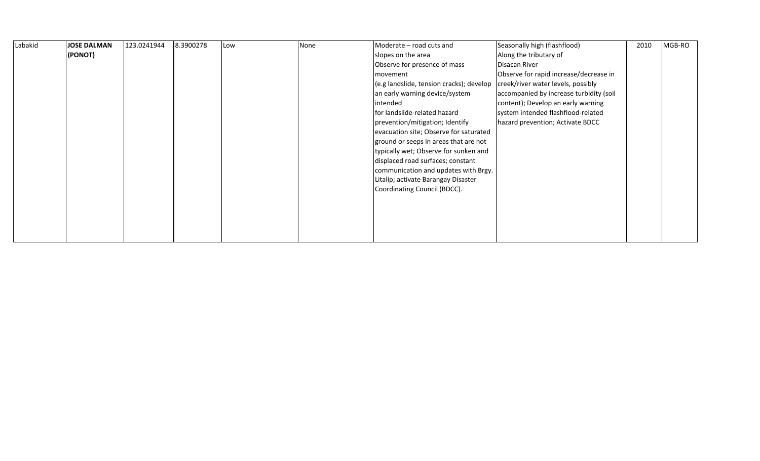| Labakid | <b>JOSE DALMAN</b> | 123.0241944 | 8.3900278 | Low | None | Moderate – road cuts and                 | Seasonally high (flashflood)            | 2010 | MGB-RO |
|---------|--------------------|-------------|-----------|-----|------|------------------------------------------|-----------------------------------------|------|--------|
|         | (PONOT)            |             |           |     |      | slopes on the area                       | Along the tributary of                  |      |        |
|         |                    |             |           |     |      | Observe for presence of mass             | Disacan River                           |      |        |
|         |                    |             |           |     |      | movement                                 | Observe for rapid increase/decrease in  |      |        |
|         |                    |             |           |     |      | (e.g landslide, tension cracks); develop | creek/river water levels, possibly      |      |        |
|         |                    |             |           |     |      | an early warning device/system           | accompanied by increase turbidity (soil |      |        |
|         |                    |             |           |     |      | intended                                 | content); Develop an early warning      |      |        |
|         |                    |             |           |     |      | for landslide-related hazard             | system intended flashflood-related      |      |        |
|         |                    |             |           |     |      | prevention/mitigation; Identify          | hazard prevention; Activate BDCC        |      |        |
|         |                    |             |           |     |      | evacuation site; Observe for saturated   |                                         |      |        |
|         |                    |             |           |     |      | ground or seeps in areas that are not    |                                         |      |        |
|         |                    |             |           |     |      | typically wet; Observe for sunken and    |                                         |      |        |
|         |                    |             |           |     |      | displaced road surfaces; constant        |                                         |      |        |
|         |                    |             |           |     |      | communication and updates with Brgy.     |                                         |      |        |
|         |                    |             |           |     |      | Litalip; activate Barangay Disaster      |                                         |      |        |
|         |                    |             |           |     |      | Coordinating Council (BDCC).             |                                         |      |        |
|         |                    |             |           |     |      |                                          |                                         |      |        |
|         |                    |             |           |     |      |                                          |                                         |      |        |
|         |                    |             |           |     |      |                                          |                                         |      |        |
|         |                    |             |           |     |      |                                          |                                         |      |        |
|         |                    |             |           |     |      |                                          |                                         |      |        |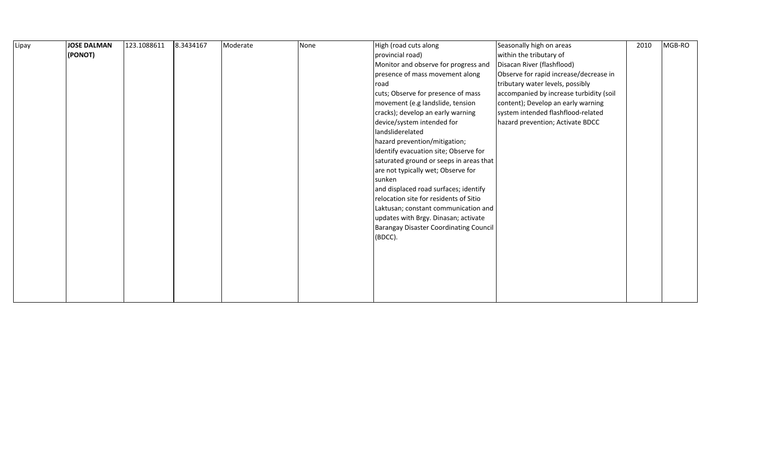| Lipay | <b>JOSE DALMAN</b> | 123.1088611 | 8.3434167 | Moderate | None | High (road cuts along                         | Seasonally high on areas                | 2010 | MGB-RO |
|-------|--------------------|-------------|-----------|----------|------|-----------------------------------------------|-----------------------------------------|------|--------|
|       | (PONOT)            |             |           |          |      | provincial road)                              | within the tributary of                 |      |        |
|       |                    |             |           |          |      | Monitor and observe for progress and          | Disacan River (flashflood)              |      |        |
|       |                    |             |           |          |      | presence of mass movement along               | Observe for rapid increase/decrease in  |      |        |
|       |                    |             |           |          |      | road                                          | tributary water levels, possibly        |      |        |
|       |                    |             |           |          |      | cuts; Observe for presence of mass            | accompanied by increase turbidity (soil |      |        |
|       |                    |             |           |          |      | movement (e.g landslide, tension              | content); Develop an early warning      |      |        |
|       |                    |             |           |          |      | cracks); develop an early warning             | system intended flashflood-related      |      |        |
|       |                    |             |           |          |      | device/system intended for                    | hazard prevention; Activate BDCC        |      |        |
|       |                    |             |           |          |      | landsliderelated                              |                                         |      |        |
|       |                    |             |           |          |      | hazard prevention/mitigation;                 |                                         |      |        |
|       |                    |             |           |          |      | Identify evacuation site; Observe for         |                                         |      |        |
|       |                    |             |           |          |      | saturated ground or seeps in areas that       |                                         |      |        |
|       |                    |             |           |          |      | are not typically wet; Observe for            |                                         |      |        |
|       |                    |             |           |          |      | sunken                                        |                                         |      |        |
|       |                    |             |           |          |      | and displaced road surfaces; identify         |                                         |      |        |
|       |                    |             |           |          |      | relocation site for residents of Sitio        |                                         |      |        |
|       |                    |             |           |          |      | Laktusan; constant communication and          |                                         |      |        |
|       |                    |             |           |          |      | updates with Brgy. Dinasan; activate          |                                         |      |        |
|       |                    |             |           |          |      | <b>Barangay Disaster Coordinating Council</b> |                                         |      |        |
|       |                    |             |           |          |      | (BDCC).                                       |                                         |      |        |
|       |                    |             |           |          |      |                                               |                                         |      |        |
|       |                    |             |           |          |      |                                               |                                         |      |        |
|       |                    |             |           |          |      |                                               |                                         |      |        |
|       |                    |             |           |          |      |                                               |                                         |      |        |
|       |                    |             |           |          |      |                                               |                                         |      |        |
|       |                    |             |           |          |      |                                               |                                         |      |        |
|       |                    |             |           |          |      |                                               |                                         |      |        |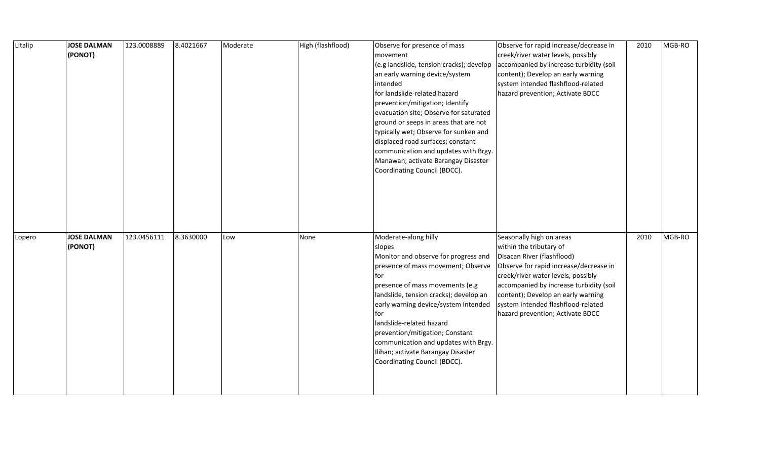| Litalip | <b>JOSE DALMAN</b><br>(PONOT) | 123.0008889 | 8.4021667 | Moderate | High (flashflood) | Observe for presence of mass<br>movement<br>(e.g landslide, tension cracks); develop<br>an early warning device/system<br>intended<br>for landslide-related hazard<br>prevention/mitigation; Identify<br>evacuation site; Observe for saturated<br>ground or seeps in areas that are not<br>typically wet; Observe for sunken and<br>displaced road surfaces; constant<br>communication and updates with Brgy.<br>Manawan; activate Barangay Disaster<br>Coordinating Council (BDCC). | Observe for rapid increase/decrease in<br>creek/river water levels, possibly<br>accompanied by increase turbidity (soil<br>content); Develop an early warning<br>system intended flashflood-related<br>hazard prevention; Activate BDCC                                                                                      | 2010 | MGB-RO |
|---------|-------------------------------|-------------|-----------|----------|-------------------|---------------------------------------------------------------------------------------------------------------------------------------------------------------------------------------------------------------------------------------------------------------------------------------------------------------------------------------------------------------------------------------------------------------------------------------------------------------------------------------|------------------------------------------------------------------------------------------------------------------------------------------------------------------------------------------------------------------------------------------------------------------------------------------------------------------------------|------|--------|
| Lopero  | <b>JOSE DALMAN</b><br>(PONOT) | 123.0456111 | 8.3630000 | Low      | None              | Moderate-along hilly<br>slopes<br>Monitor and observe for progress and<br>presence of mass movement; Observe<br>for<br>presence of mass movements (e.g<br>landslide, tension cracks); develop an<br>early warning device/system intended<br>for<br>landslide-related hazard<br>prevention/mitigation; Constant<br>communication and updates with Brgy.<br>Ilihan; activate Barangay Disaster<br>Coordinating Council (BDCC).                                                          | Seasonally high on areas<br>within the tributary of<br>Disacan River (flashflood)<br>Observe for rapid increase/decrease in<br>creek/river water levels, possibly<br>accompanied by increase turbidity (soil<br>content); Develop an early warning<br>system intended flashflood-related<br>hazard prevention; Activate BDCC | 2010 | MGB-RO |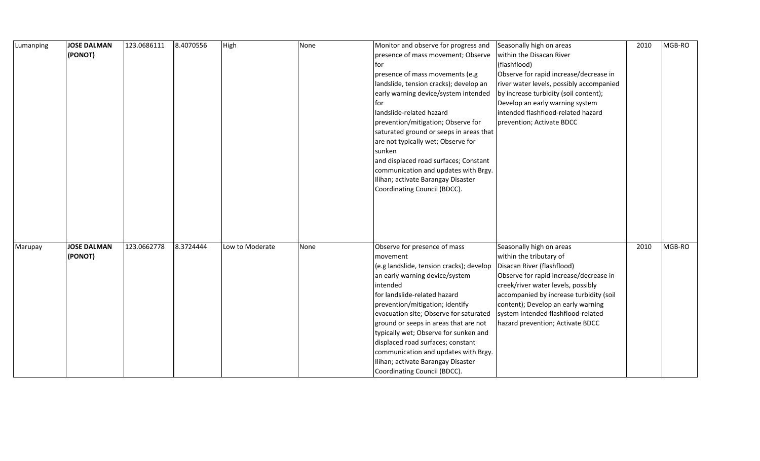| Lumanping | <b>JOSE DALMAN</b> | 123.0686111 | 8.4070556 | High            | None | Monitor and observe for progress and     | Seasonally high on areas                 | 2010 | MGB-RO |
|-----------|--------------------|-------------|-----------|-----------------|------|------------------------------------------|------------------------------------------|------|--------|
|           | (PONOT)            |             |           |                 |      | presence of mass movement; Observe       | within the Disacan River                 |      |        |
|           |                    |             |           |                 |      | for                                      | (flashflood)                             |      |        |
|           |                    |             |           |                 |      | presence of mass movements (e.g          | Observe for rapid increase/decrease in   |      |        |
|           |                    |             |           |                 |      | landslide, tension cracks); develop an   | river water levels, possibly accompanied |      |        |
|           |                    |             |           |                 |      | early warning device/system intended     | by increase turbidity (soil content);    |      |        |
|           |                    |             |           |                 |      | tor                                      | Develop an early warning system          |      |        |
|           |                    |             |           |                 |      | landslide-related hazard                 | intended flashflood-related hazard       |      |        |
|           |                    |             |           |                 |      | prevention/mitigation; Observe for       | prevention; Activate BDCC                |      |        |
|           |                    |             |           |                 |      | saturated ground or seeps in areas that  |                                          |      |        |
|           |                    |             |           |                 |      | are not typically wet; Observe for       |                                          |      |        |
|           |                    |             |           |                 |      | sunken                                   |                                          |      |        |
|           |                    |             |           |                 |      | and displaced road surfaces; Constant    |                                          |      |        |
|           |                    |             |           |                 |      | communication and updates with Brgy.     |                                          |      |        |
|           |                    |             |           |                 |      | Ilihan; activate Barangay Disaster       |                                          |      |        |
|           |                    |             |           |                 |      | Coordinating Council (BDCC).             |                                          |      |        |
|           |                    |             |           |                 |      |                                          |                                          |      |        |
|           |                    |             |           |                 |      |                                          |                                          |      |        |
|           |                    |             |           |                 |      |                                          |                                          |      |        |
|           |                    |             |           |                 |      |                                          |                                          |      |        |
|           |                    |             |           |                 |      |                                          |                                          |      |        |
| Marupay   | <b>JOSE DALMAN</b> | 123.0662778 | 8.3724444 | Low to Moderate | None | Observe for presence of mass             | Seasonally high on areas                 | 2010 | MGB-RO |
|           | (PONOT)            |             |           |                 |      | movement                                 | within the tributary of                  |      |        |
|           |                    |             |           |                 |      | (e.g landslide, tension cracks); develop | Disacan River (flashflood)               |      |        |
|           |                    |             |           |                 |      | an early warning device/system           | Observe for rapid increase/decrease in   |      |        |
|           |                    |             |           |                 |      | intended                                 | creek/river water levels, possibly       |      |        |
|           |                    |             |           |                 |      | for landslide-related hazard             | accompanied by increase turbidity (soil  |      |        |
|           |                    |             |           |                 |      | prevention/mitigation; Identify          | content); Develop an early warning       |      |        |
|           |                    |             |           |                 |      | evacuation site; Observe for saturated   | system intended flashflood-related       |      |        |
|           |                    |             |           |                 |      | ground or seeps in areas that are not    | hazard prevention; Activate BDCC         |      |        |
|           |                    |             |           |                 |      | typically wet; Observe for sunken and    |                                          |      |        |
|           |                    |             |           |                 |      | displaced road surfaces; constant        |                                          |      |        |
|           |                    |             |           |                 |      | communication and updates with Brgy.     |                                          |      |        |
|           |                    |             |           |                 |      | Ilihan; activate Barangay Disaster       |                                          |      |        |
|           |                    |             |           |                 |      | Coordinating Council (BDCC).             |                                          |      |        |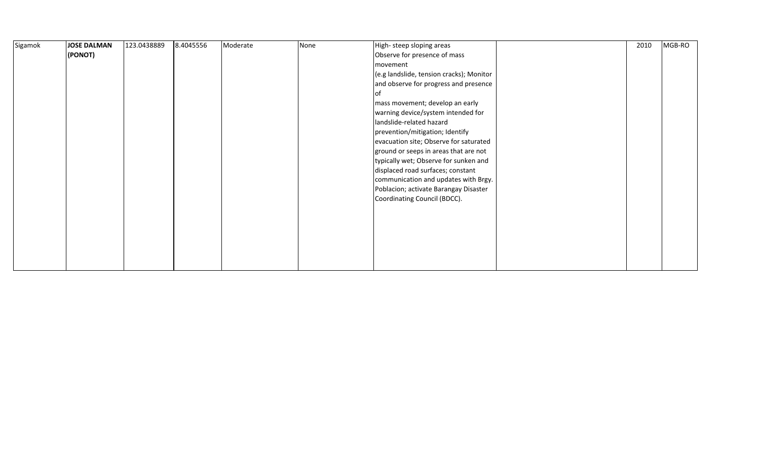| Sigamok | JOSE DALMAN | 123.0438889 | 8.4045556 | Moderate | None | High-steep sloping areas                 | 2010 | MGB-RO |
|---------|-------------|-------------|-----------|----------|------|------------------------------------------|------|--------|
|         | (PONOT)     |             |           |          |      | Observe for presence of mass             |      |        |
|         |             |             |           |          |      | movement                                 |      |        |
|         |             |             |           |          |      | (e.g landslide, tension cracks); Monitor |      |        |
|         |             |             |           |          |      | and observe for progress and presence    |      |        |
|         |             |             |           |          |      | l of                                     |      |        |
|         |             |             |           |          |      | mass movement; develop an early          |      |        |
|         |             |             |           |          |      | warning device/system intended for       |      |        |
|         |             |             |           |          |      | landslide-related hazard                 |      |        |
|         |             |             |           |          |      | prevention/mitigation; Identify          |      |        |
|         |             |             |           |          |      | evacuation site; Observe for saturated   |      |        |
|         |             |             |           |          |      | ground or seeps in areas that are not    |      |        |
|         |             |             |           |          |      | typically wet; Observe for sunken and    |      |        |
|         |             |             |           |          |      | displaced road surfaces; constant        |      |        |
|         |             |             |           |          |      | communication and updates with Brgy.     |      |        |
|         |             |             |           |          |      | Poblacion; activate Barangay Disaster    |      |        |
|         |             |             |           |          |      | Coordinating Council (BDCC).             |      |        |
|         |             |             |           |          |      |                                          |      |        |
|         |             |             |           |          |      |                                          |      |        |
|         |             |             |           |          |      |                                          |      |        |
|         |             |             |           |          |      |                                          |      |        |
|         |             |             |           |          |      |                                          |      |        |
|         |             |             |           |          |      |                                          |      |        |
|         |             |             |           |          |      |                                          |      |        |